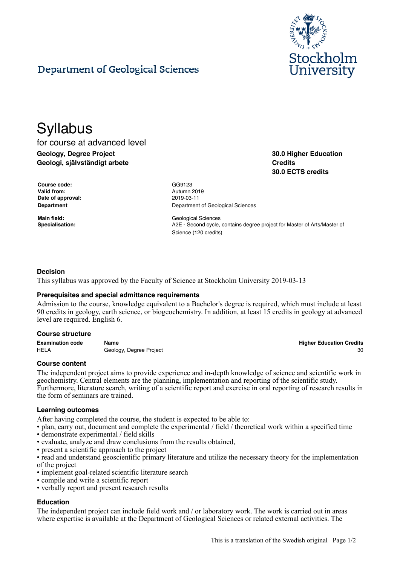

**30.0 Higher Education**

**30.0 ECTS credits**

**Credits**

# Department of Geological Sciences

# **Syllabus**

for course at advanced level **Geology, Degree Project Geologi, självständigt arbete**

**Course code:** GG9123 **Valid from:** Autumn 2019 **Date of approval:** 2019-03-11

**Department** Department Department of Geological Sciences

**Main field:** Geological Sciences **Specialisation:** A2E - Second cycle, contains degree project for Master of Arts/Master of Science (120 credits)

# **Decision**

This syllabus was approved by the Faculty of Science at Stockholm University 2019-03-13

### **Prerequisites and special admittance requirements**

Admission to the course, knowledge equivalent to a Bachelor's degree is required, which must include at least 90 credits in geology, earth science, or biogeochemistry. In addition, at least 15 credits in geology at advanced level are required. English 6.

#### **Course structure**

**Examination code Name Higher Education Credits** HELA Geology, Degree Project 30 and the state of the state 30 and 30 and 30 and 30 and 30 and 30 and 30 and 30 and 30 and 30 and 30 and 30 and 30 and 30 and 30 and 30 and 30 and 30 and 30 and 30 and 30 and 30 and 30 and 30

### **Course content**

The independent project aims to provide experience and in-depth knowledge of science and scientific work in geochemistry. Central elements are the planning, implementation and reporting of the scientific study. Furthermore, literature search, writing of a scientific report and exercise in oral reporting of research results in the form of seminars are trained.

### **Learning outcomes**

After having completed the course, the student is expected to be able to:

- plan, carry out, document and complete the experimental / field / theoretical work within a specified time
- demonstrate experimental / field skills
- evaluate, analyze and draw conclusions from the results obtained,
- present a scientific approach to the project

• read and understand geoscientific primary literature and utilize the necessary theory for the implementation of the project

- implement goal-related scientific literature search
- compile and write a scientific report
- verbally report and present research results

# **Education**

The independent project can include field work and / or laboratory work. The work is carried out in areas where expertise is available at the Department of Geological Sciences or related external activities. The